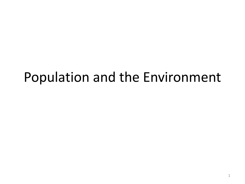# Population and the Environment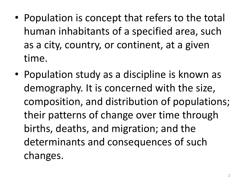- Population is concept that refers to the total human inhabitants of a specified area, such as a city, country, or continent, at a given time.
- Population study as a discipline is known as demography. It is concerned with the size, composition, and distribution of populations; their patterns of change over time through births, deaths, and migration; and the determinants and consequences of such changes.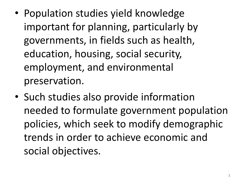- Population studies yield knowledge important for planning, particularly by governments, in fields such as health, education, housing, social security, employment, and environmental preservation.
- Such studies also provide information needed to formulate government population policies, which seek to modify demographic trends in order to achieve economic and social objectives.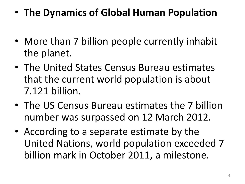- **The Dynamics of Global Human Population**
- More than 7 billion people currently inhabit the planet.
- The United States Census Bureau estimates that the current world population is about 7.121 billion.
- The US Census Bureau estimates the 7 billion number was surpassed on 12 March 2012.
- According to a separate estimate by the United Nations, world population exceeded 7 billion mark in October 2011, a milestone.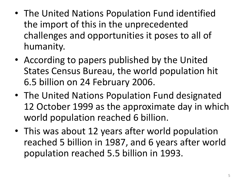- The United Nations Population Fund identified the import of this in the unprecedented challenges and opportunities it poses to all of humanity.
- According to papers published by the United States Census Bureau, the world population hit 6.5 billion on 24 February 2006.
- The United Nations Population Fund designated 12 October 1999 as the approximate day in which world population reached 6 billion.
- This was about 12 years after world population reached 5 billion in 1987, and 6 years after world population reached 5.5 billion in 1993.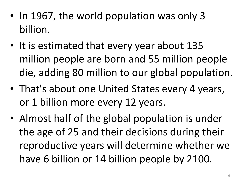- In 1967, the world population was only 3 billion.
- It is estimated that every year about 135 million people are born and 55 million people die, adding 80 million to our global population.
- That's about one United States every 4 years, or 1 billion more every 12 years.
- Almost half of the global population is under the age of 25 and their decisions during their reproductive years will determine whether we have 6 billion or 14 billion people by 2100.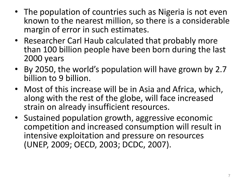- The population of countries such as Nigeria is not even known to the nearest million, so there is a considerable margin of error in such estimates.
- Researcher Carl Haub calculated that probably more than 100 billion people have been born during the last 2000 years
- By 2050, the world's population will have grown by 2.7 billion to 9 billion.
- Most of this increase will be in Asia and Africa, which, along with the rest of the globe, will face increased strain on already insufficient resources.
- Sustained population growth, aggressive economic competition and increased consumption will result in intensive exploitation and pressure on resources (UNEP, 2009; OECD, 2003; DCDC, 2007).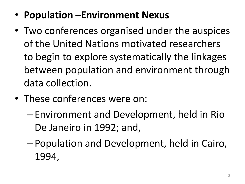- **Population –Environment Nexus**
- Two conferences organised under the auspices of the United Nations motivated researchers to begin to explore systematically the linkages between population and environment through data collection.
- These conferences were on:
	- Environment and Development, held in Rio De Janeiro in 1992; and,
	- Population and Development, held in Cairo, 1994,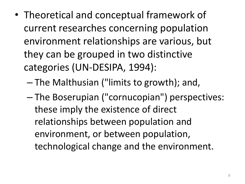- Theoretical and conceptual framework of current researches concerning population environment relationships are various, but they can be grouped in two distinctive categories (UN-DESIPA, 1994):
	- The Malthusian ("limits to growth); and,
	- The Boserupian ("cornucopian") perspectives: these imply the existence of direct relationships between population and environment, or between population, technological change and the environment.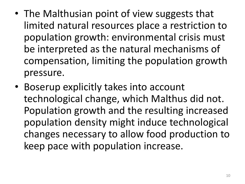- The Malthusian point of view suggests that limited natural resources place a restriction to population growth: environmental crisis must be interpreted as the natural mechanisms of compensation, limiting the population growth pressure.
- Boserup explicitly takes into account technological change, which Malthus did not. Population growth and the resulting increased population density might induce technological changes necessary to allow food production to keep pace with population increase.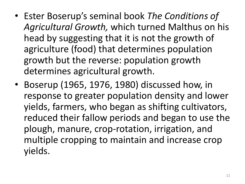- Ester Boserup's seminal book *The Conditions of Agricultural Growth,* which turned Malthus on his head by suggesting that it is not the growth of agriculture (food) that determines population growth but the reverse: population growth determines agricultural growth.
- Boserup (1965, 1976, 1980) discussed how, in response to greater population density and lower yields, farmers, who began as shifting cultivators, reduced their fallow periods and began to use the plough, manure, crop-rotation, irrigation, and multiple cropping to maintain and increase crop yields.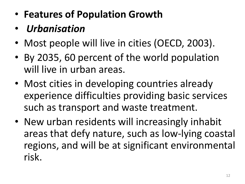- **Features of Population Growth**
- *Urbanisation*
- Most people will live in cities (OECD, 2003).
- By 2035, 60 percent of the world population will live in urban areas.
- Most cities in developing countries already experience difficulties providing basic services such as transport and waste treatment.
- New urban residents will increasingly inhabit areas that defy nature, such as low-lying coastal regions, and will be at significant environmental risk.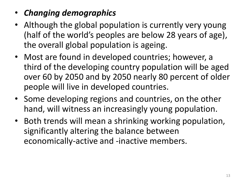#### • *Changing demographics*

- Although the global population is currently very young (half of the world's peoples are below 28 years of age), the overall global population is ageing.
- Most are found in developed countries; however, a third of the developing country population will be aged over 60 by 2050 and by 2050 nearly 80 percent of older people will live in developed countries.
- Some developing regions and countries, on the other hand, will witness an increasingly young population.
- Both trends will mean a shrinking working population, significantly altering the balance between economically-active and -inactive members.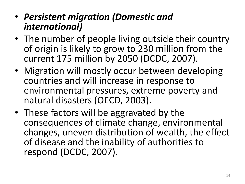- *Persistent migration (Domestic and international)*
- The number of people living outside their country of origin is likely to grow to 230 million from the current 175 million by 2050 (DCDC, 2007).
- Migration will mostly occur between developing countries and will increase in response to environmental pressures, extreme poverty and natural disasters (OECD, 2003).
- These factors will be aggravated by the consequences of climate change, environmental changes, uneven distribution of wealth, the effect of disease and the inability of authorities to respond (DCDC, 2007).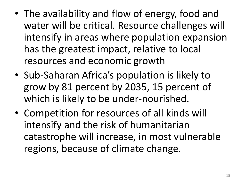- The availability and flow of energy, food and water will be critical. Resource challenges will intensify in areas where population expansion has the greatest impact, relative to local resources and economic growth
- Sub-Saharan Africa's population is likely to grow by 81 percent by 2035, 15 percent of which is likely to be under-nourished.
- Competition for resources of all kinds will intensify and the risk of humanitarian catastrophe will increase, in most vulnerable regions, because of climate change.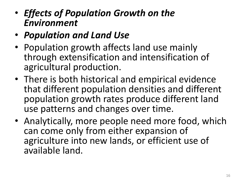- *Effects of Population Growth on the Environment*
- *Population and Land Use*
- Population growth affects land use mainly through extensification and intensification of agricultural production.
- There is both historical and empirical evidence that different population densities and different population growth rates produce different land use patterns and changes over time.
- Analytically, more people need more food, which can come only from either expansion of agriculture into new lands, or efficient use of available land.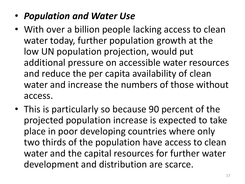### • *Population and Water Use*

- With over a billion people lacking access to clean water today, further population growth at the low UN population projection, would put additional pressure on accessible water resources and reduce the per capita availability of clean water and increase the numbers of those without access.
- This is particularly so because 90 percent of the projected population increase is expected to take place in poor developing countries where only two thirds of the population have access to clean water and the capital resources for further water development and distribution are scarce.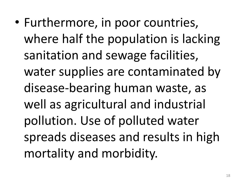• Furthermore, in poor countries, where half the population is lacking sanitation and sewage facilities, water supplies are contaminated by disease-bearing human waste, as well as agricultural and industrial pollution. Use of polluted water spreads diseases and results in high mortality and morbidity.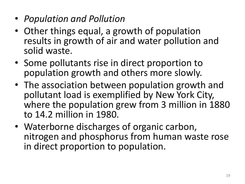- *Population and Pollution*
- Other things equal, a growth of population results in growth of air and water pollution and solid waste.
- Some pollutants rise in direct proportion to population growth and others more slowly.
- The association between population growth and pollutant load is exemplified by New York City, where the population grew from 3 million in 1880 to 14.2 million in 1980.
- Waterborne discharges of organic carbon, nitrogen and phosphorus from human waste rose in direct proportion to population.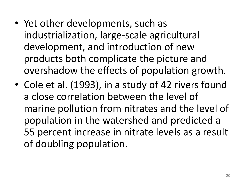- Yet other developments, such as industrialization, large-scale agricultural development, and introduction of new products both complicate the picture and overshadow the effects of population growth.
- Cole et al. (1993), in a study of 42 rivers found a close correlation between the level of marine pollution from nitrates and the level of population in the watershed and predicted a 55 percent increase in nitrate levels as a result of doubling population.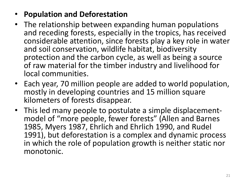#### • **Population and Deforestation**

- The relationship between expanding human populations and receding forests, especially in the tropics, has received considerable attention, since forests play a key role in water and soil conservation, wildlife habitat, biodiversity protection and the carbon cycle, as well as being a source of raw material for the timber industry and livelihood for local communities.
- Each year, 70 million people are added to world population, mostly in developing countries and 15 million square kilometers of forests disappear.
- This led many people to postulate a simple displacementmodel of "more people, fewer forests" (Allen and Barnes 1985, Myers 1987, Ehrlich and Ehrlich 1990, and Rudel 1991), but deforestation is a complex and dynamic process in which the role of population growth is neither static nor monotonic.